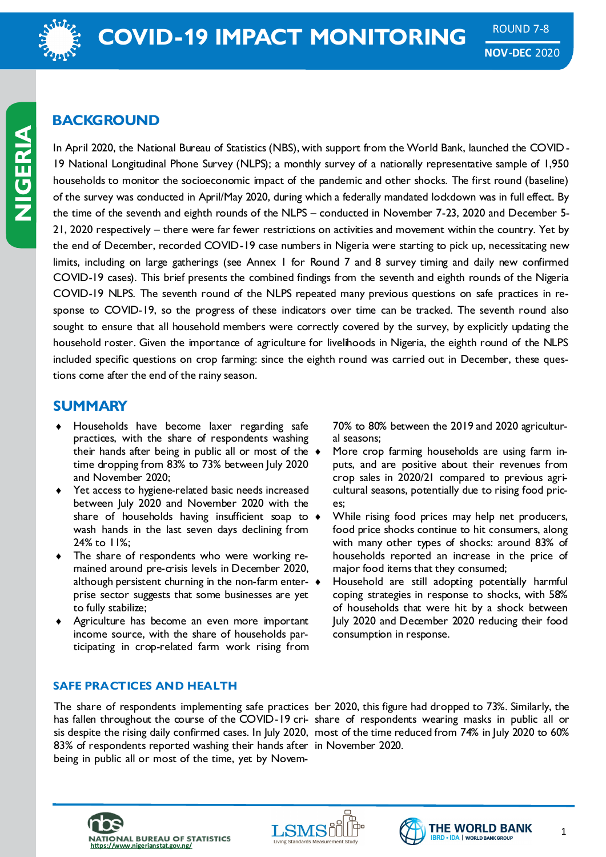

# **BACKGROUND**

In April 2020, the National Bureau of Statistics (NBS), with support from the World Bank, launched the COVID-19 National Longitudinal Phone Survey (NLPS); a monthly survey of a nationally representative sample of 1,950 households to monitor the socioeconomic impact of the pandemic and other shocks. The first round (baseline) of the survey was conducted in April/May 2020, during which a federally mandated lockdown was in full effect. By the time of the seventh and eighth rounds of the NLPS – conducted in November 7-23, 2020 and December 5- 21, 2020 respectively – there were far fewer restrictions on activities and movement within the country. Yet by the end of December, recorded COVID-19 case numbers in Nigeria were starting to pick up, necessitating new limits, including on large gatherings (see Annex 1 for Round 7 and 8 survey timing and daily new confirmed COVID-19 cases). This brief presents the combined findings from the seventh and eighth rounds of the Nigeria COVID-19 NLPS. The seventh round of the NLPS repeated many previous questions on safe practices in response to COVID-19, so the progress of these indicators over time can be tracked. The seventh round also sought to ensure that all household members were correctly covered by the survey, by explicitly updating the household roster. Given the importance of agriculture for livelihoods in Nigeria, the eighth round of the NLPS included specific questions on crop farming: since the eighth round was carried out in December, these questions come after the end of the rainy season.

# **SUMMARY**

- Households have become laxer regarding safe practices, with the share of respondents washing their hands after being in public all or most of the  $\rightarrow$ time dropping from 83% to 73% between July 2020 and November 2020;
- Yet access to hygiene-related basic needs increased between July 2020 and November 2020 with the share of households having insufficient soap to  $\bullet$ wash hands in the last seven days declining from 24% to 11%;
- The share of respondents who were working remained around pre-crisis levels in December 2020, although persistent churning in the non-farm enter- $\bullet$ prise sector suggests that some businesses are yet to fully stabilize;
- Agriculture has become an even more important income source, with the share of households participating in crop-related farm work rising from

70% to 80% between the 2019 and 2020 agricultural seasons;

- More crop farming households are using farm inputs, and are positive about their revenues from crop sales in 2020/21 compared to previous agricultural seasons, potentially due to rising food prices;
- While rising food prices may help net producers, food price shocks continue to hit consumers, along with many other types of shocks: around 83% of households reported an increase in the price of major food items that they consumed;
- Household are still adopting potentially harmful coping strategies in response to shocks, with 58% of households that were hit by a shock between July 2020 and December 2020 reducing their food consumption in response.

## **SAFE PRACTICES AND HEALTH**

The share of respondents implementing safe practices ber 2020, this figure had dropped to 73%. Similarly, the has fallen throughout the course of the COVID-19 cri- share of respondents wearing masks in public all or sis despite the rising daily confirmed cases. In July 2020, most of the time reduced from 74% in July 2020 to 60% 83% of respondents reported washing their hands after in November 2020. being in public all or most of the time, yet by Novem-







1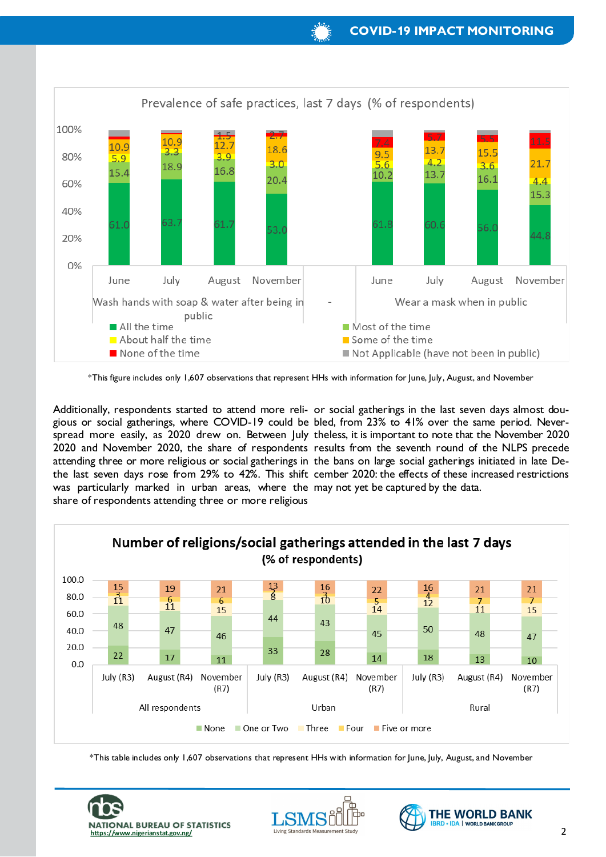

\*This figure includes only 1,607 observations that represent HHs with information for June, July, August, and November

Additionally, respondents started to attend more reli-or social gatherings in the last seven days almost dougious or social gatherings, where COVID-19 could be bled, from 23% to 41% over the same period. Neverspread more easily, as 2020 drew on. Between July theless, it is important to note that the November 2020 2020 and November 2020, the share of respondents results from the seventh round of the NLPS precede attending three or more religious or social gatherings in the bans on large social gatherings initiated in late Dethe last seven days rose from 29% to 42%. This shift cember 2020: the effects of these increased restrictions was particularly marked in urban areas, where the may not yet be captured by the data. share of respondents attending three or more religious



\*This table includes only 1,607 observations that represent HHs with information for June, July, August, and November





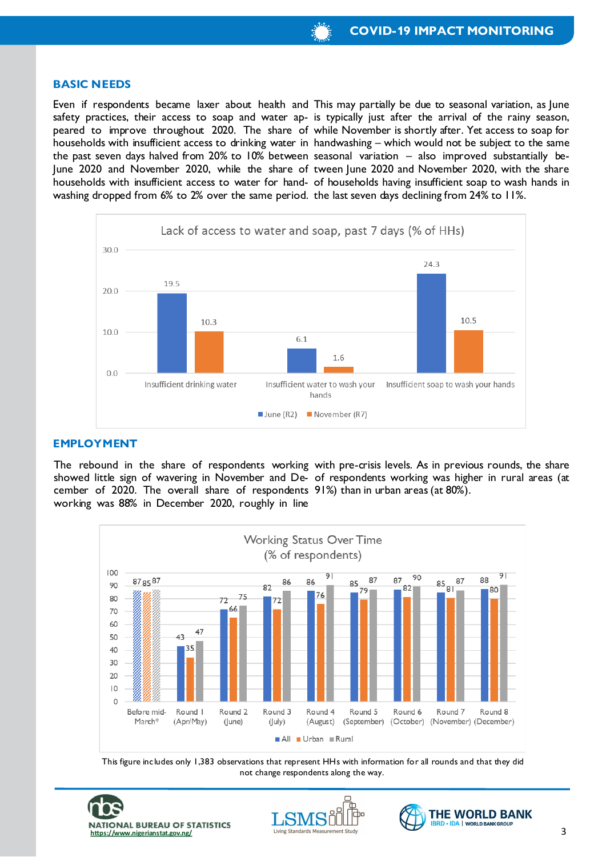#### **BASIC NEEDS**

the past seven days halved from 20% to 10% between seasonal variation – also improved substantially bewashing dropped from 6% to 2% over the same period. the last seven days declining from 24% to 11%.

Even if respondents became laxer about health and This may partially be due to seasonal variation, as June safety practices, their access to soap and water ap- is typically just after the arrival of the rainy season, peared to improve throughout 2020. The share of while November is shortly after. Yet access to soap for households with insufficient access to drinking water in handwashing – which would not be subject to the same June 2020 and November 2020, while the share of tween June 2020 and November 2020, with the share households with insufficient access to water for hand- of households having insufficient soap to wash hands in



## **EMPLOYMENT**

The rebound in the share of respondents working with pre-crisis levels. As in previous rounds, the share showed little sign of wavering in November and De-of respondents working was higher in rural areas (at cember of 2020. The overall share of respondents 91%) than in urban areas (at 80%). working was 88% in December 2020, roughly in line



This figure includes only 1,383 observations that represent HHs with information for all rounds and that they did not change respondents along the way.





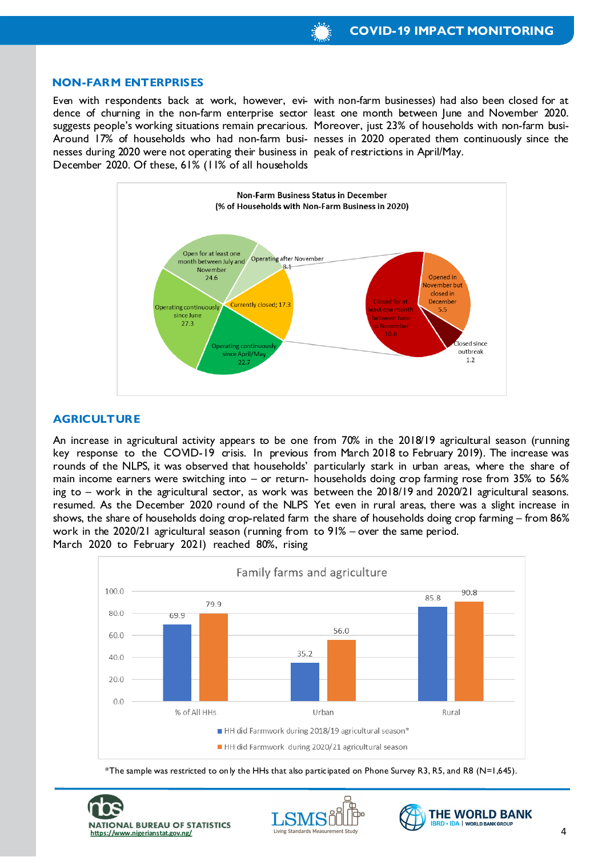#### **NON-FARM ENTERPRISES**

nesses during 2020 were not operating their business in peak of restrictions in April/May. December 2020. Of these, 61% (11% of all households

Even with respondents back at work, however, evi- with non-farm businesses) had also been closed for at dence of churning in the non-farm enterprise sector least one month between June and November 2020. suggests people's working situations remain precarious. Moreover, just 23% of households with non-farm busi-Around 17% of households who had non-farm busi-nesses in 2020 operated them continuously since the



### **AGRICULTURE**

work in the 2020/21 agricultural season (running from to 91% – over the same period. March 2020 to February 2021) reached 80%, rising

An increase in agricultural activity appears to be one from 70% in the 2018/19 agricultural season (running key response to the COVID-19 crisis. In previous from March 2018 to February 2019). The increase was rounds of the NLPS, it was observed that households' particularly stark in urban areas, where the share of main income earners were switching into – or return-households doing crop farming rose from 35% to 56% ing to – work in the agricultural sector, as work was between the 2018/19 and 2020/21 agricultural seasons. resumed. As the December 2020 round of the NLPS Yet even in rural areas, there was a slight increase in shows, the share of households doing crop-related farm the share of households doing crop farming – from 86%



\*The sample was restricted to only the HHs that also participated on Phone Survey R3, R5, and R8 (N=1,645).





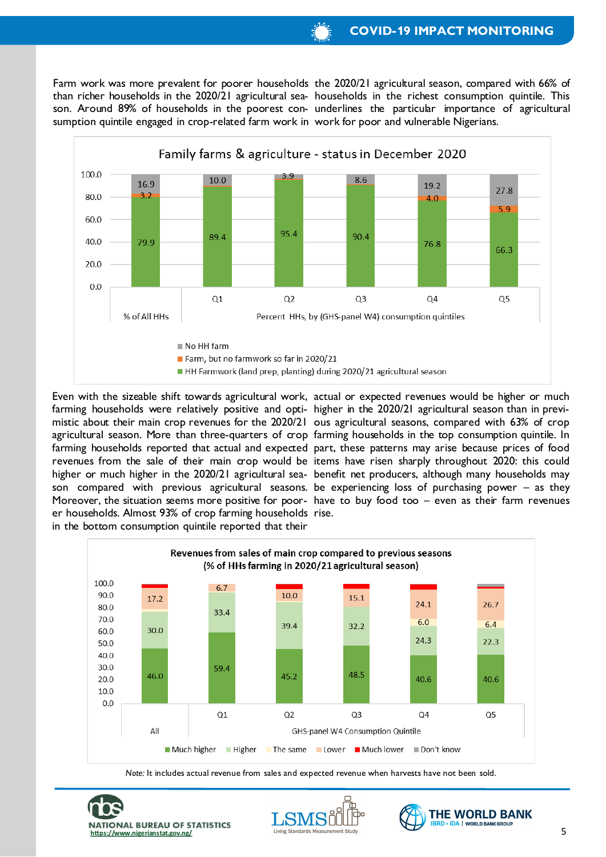sumption quintile engaged in crop-related farm work in work for poor and vulnerable Nigerians.

Farm work was more prevalent for poorer households the 2020/21 agricultural season, compared with 66% of than richer households in the 2020/21 agricultural sea- households in the richest consumption quintile. This son. Around 89% of households in the poorest con- underlines the particular importance of agricultural



farming households were relatively positive and opti- higher in the 2020/21 agricultural season than in previer households. Almost 93% of crop farming households rise. in the bottom consumption quintile reported that their

Even with the sizeable shift towards agricultural work, actual or expected revenues would be higher or much mistic about their main crop revenues for the 2020/21 ous agricultural seasons, compared with 63% of crop agricultural season. More than three-quarters of crop farming households in the top consumption quintile. In farming households reported that actual and expected part, these patterns may arise because prices of food revenues from the sale of their main crop would be items have risen sharply throughout 2020: this could higher or much higher in the 2020/21 agricultural sea-benefit net producers, although many households may son compared with previous agricultural seasons. be experiencing loss of purchasing power – as they Moreover, the situation seems more positive for poor-have to buy food too – even as their farm revenues



*Note:* It includes actual revenue from sales and expected revenue when harvests have not been sold.





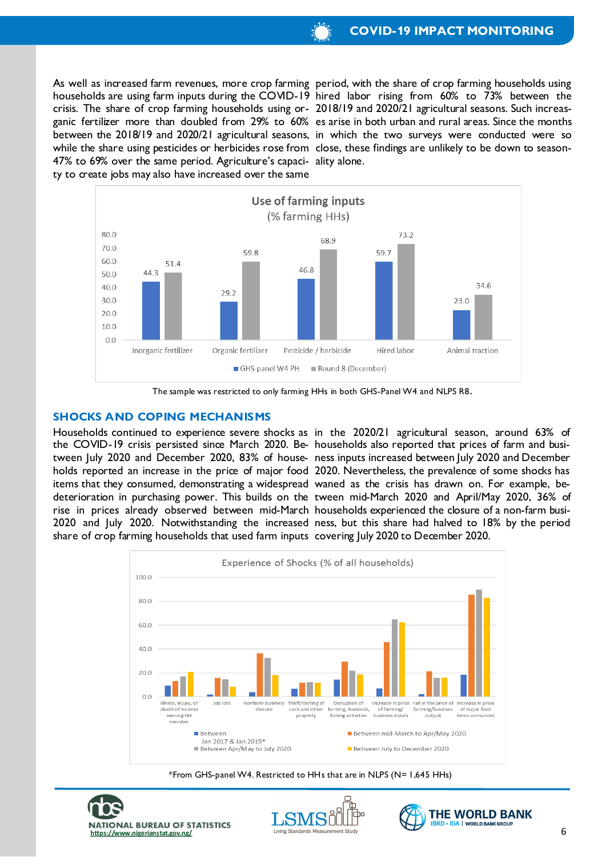47% to 69% over the same period. Agriculture's capaci-ality alone. ty to create jobs may also have increased over the same

As well as increased farm revenues, more crop farming period, with the share of crop farming households using households are using farm inputs during the COVID-19 hired labor rising from 60% to 73% between the crisis. The share of crop farming households using or-2018/19 and 2020/21 agricultural seasons. Such increasganic fertilizer more than doubled from 29% to 60% es arise in both urban and rural areas. Since the months between the 2018/19 and 2020/21 agricultural seasons, in which the two surveys were conducted were so while the share using pesticides or herbicides rose from close, these findings are unlikely to be down to season-



The sample was restricted to only farming HHs in both GHS-Panel W4 and NLPS R8.

#### **SHOCKS AND COPING MECHANISMS**

the COVID-19 crisis persisted since March 2020. Be-households also reported that prices of farm and busiitems that they consumed, demonstrating a widespread waned as the crisis has drawn on. For example, beshare of crop farming households that used farm inputs covering July 2020 to December 2020.

Households continued to experience severe shocks as in the 2020/21 agricultural season, around 63% of tween July 2020 and December 2020, 83% of house-ness inputs increased between July 2020 and December holds reported an increase in the price of major food 2020. Nevertheless, the prevalence of some shocks has deterioration in purchasing power. This builds on the tween mid-March 2020 and April/May 2020, 36% of rise in prices already observed between mid-March households experienced the closure of a non-farm busi-2020 and July 2020. Notwithstanding the increased ness, but this share had halved to 18% by the period



\*From GHS-panel W4. Restricted to HHs that are in NLPS (N= 1,645 HHs)





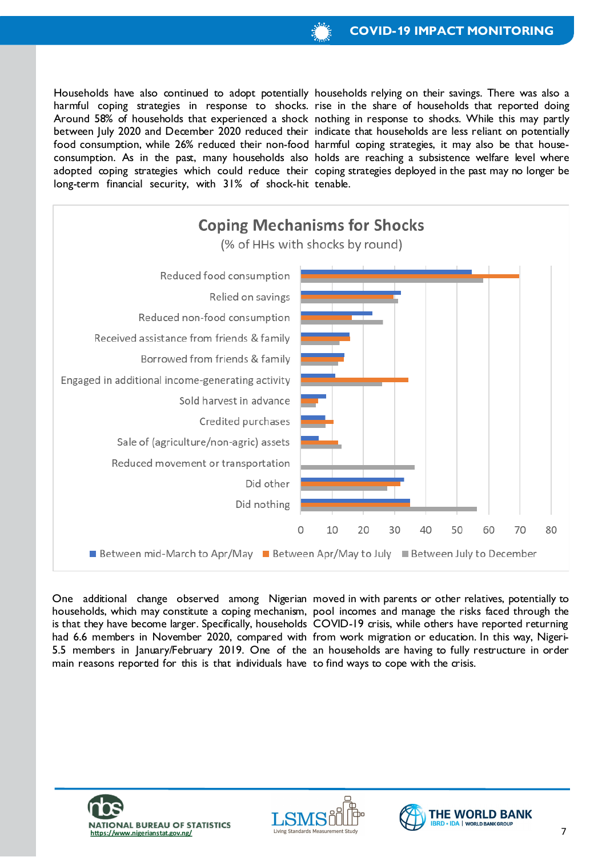long-term financial security, with 31% of shock-hit tenable.

Households have also continued to adopt potentially households relying on their savings. There was also a harmful coping strategies in response to shocks. rise in the share of households that reported doing Around 58% of households that experienced a shock nothing in response to shocks. While this may partly between July 2020 and December 2020 reduced their indicate that households are less reliant on potentially food consumption, while 26% reduced their non-food harmful coping strategies, it may also be that houseconsumption. As in the past, many households also holds are reaching a subsistence welfare level where adopted coping strategies which could reduce their coping strategies deployed in the past may no longer be



is that they have become larger. Specifically, households COVID-19 crisis, while others have reported returning had 6.6 members in November 2020, compared with from work migration or education. In this way, Nigerimain reasons reported for this is that individuals have to find ways to cope with the crisis.

One additional change observed among Nigerian moved in with parents or other relatives, potentially to households, which may constitute a coping mechanism, pool incomes and manage the risks faced through the 5.5 members in January/February 2019. One of the an households are having to fully restructure in order